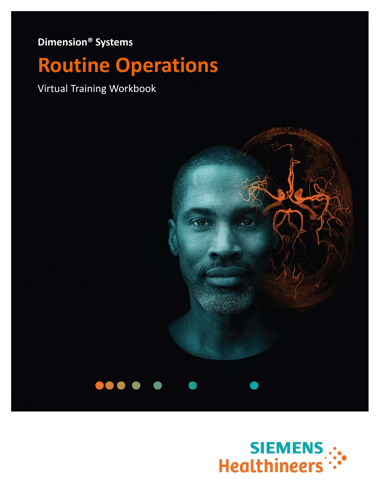**Dimension® Systems**

# **Routine Operations**

Virtual Training Workbook

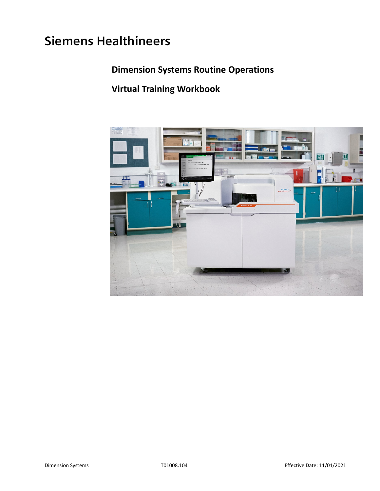# **Siemens Healthineers**

# **Dimension Systems Routine Operations**

# **Virtual Training Workbook**

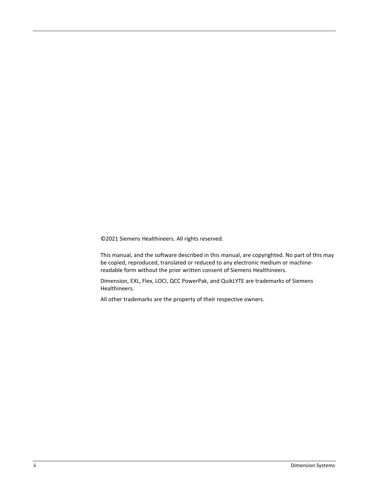©2021 Siemens Healthineers. All rights reserved.

This manual, and the software described in this manual, are copyrighted. No part of this may be copied, reproduced, translated or reduced to any electronic medium or machinereadable form without the prior written consent of Siemens Healthineers.

Dimension, EXL, Flex, LOCI, QCC PowerPak, and QuikLYTE are trademarks of Siemens Healthineers.

All other trademarks are the property of their respective owners.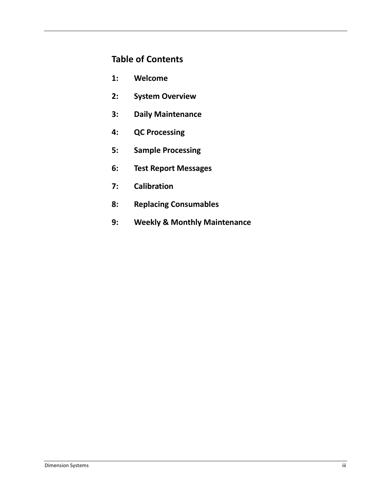## **Table of Contents**

- **1: Welcome**
- **2: System Overview**
- **3: Daily Maintenance**
- **4: QC Processing**
- **5: Sample Processing**
- **6: Test Report Messages**
- **7: Calibration**
- **8: Replacing Consumables**
- **9: Weekly & Monthly Maintenance**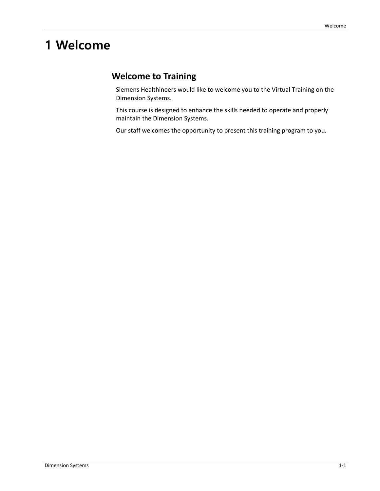# **1 Welcome**

## **Welcome to Training**

Siemens Healthineers would like to welcome you to the Virtual Training on the Dimension Systems.

This course is designed to enhance the skills needed to operate and properly maintain the Dimension Systems.

Our staff welcomes the opportunity to present this training program to you.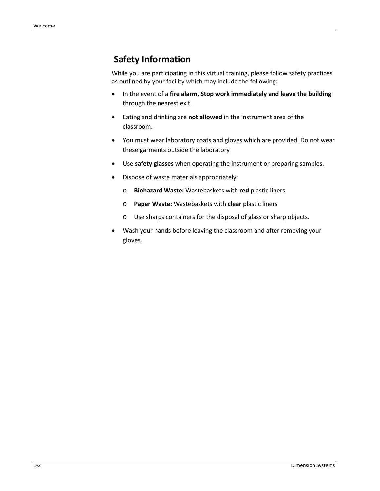## **Safety Information**

While you are participating in this virtual training, please follow safety practices as outlined by your facility which may include the following:

- In the event of a **fire alarm**, **Stop work immediately and leave the building** through the nearest exit.
- Eating and drinking are **not allowed** in the instrument area of the classroom.
- You must wear laboratory coats and gloves which are provided. Do not wear these garments outside the laboratory
- Use **safety glasses** when operating the instrument or preparing samples.
- Dispose of waste materials appropriately:
	- o **Biohazard Waste:** Wastebaskets with **red** plastic liners
	- o **Paper Waste:** Wastebaskets with **clear** plastic liners
	- o Use sharps containers for the disposal of glass or sharp objects.
- Wash your hands before leaving the classroom and after removing your gloves.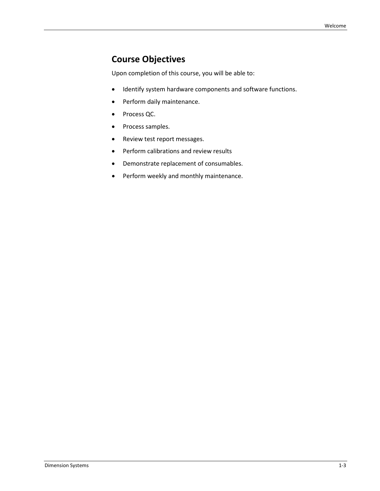## **Course Objectives**

Upon completion of this course, you will be able to:

- Identify system hardware components and software functions.
- Perform daily maintenance.
- Process QC.
- Process samples.
- Review test report messages.
- Perform calibrations and review results
- Demonstrate replacement of consumables.
- Perform weekly and monthly maintenance.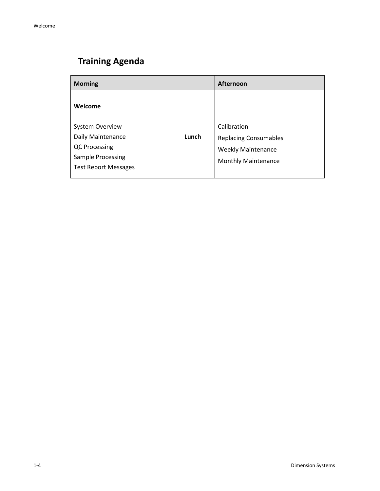# **Training Agenda**

| <b>Morning</b>              |       | <b>Afternoon</b>             |
|-----------------------------|-------|------------------------------|
| Welcome                     |       |                              |
| <b>System Overview</b>      |       | Calibration                  |
| Daily Maintenance           | Lunch | <b>Replacing Consumables</b> |
| <b>QC Processing</b>        |       | <b>Weekly Maintenance</b>    |
| <b>Sample Processing</b>    |       | <b>Monthly Maintenance</b>   |
| <b>Test Report Messages</b> |       |                              |
|                             |       |                              |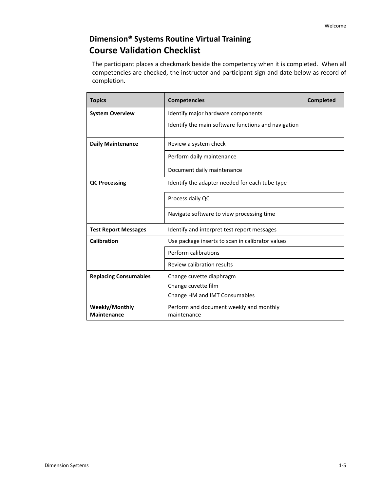## **Dimension® Systems Routine Virtual Training Course Validation Checklist**

The participant places a checkmark beside the competency when it is completed. When all competencies are checked, the instructor and participant sign and date below as record of completion.

| <b>Topics</b>                               | <b>Competencies</b>                                    | <b>Completed</b> |
|---------------------------------------------|--------------------------------------------------------|------------------|
| <b>System Overview</b>                      | Identify major hardware components                     |                  |
|                                             | Identify the main software functions and navigation    |                  |
| <b>Daily Maintenance</b>                    | Review a system check                                  |                  |
|                                             | Perform daily maintenance                              |                  |
|                                             | Document daily maintenance                             |                  |
| <b>QC Processing</b>                        | Identify the adapter needed for each tube type         |                  |
|                                             | Process daily QC                                       |                  |
|                                             | Navigate software to view processing time              |                  |
| <b>Test Report Messages</b>                 | Identify and interpret test report messages            |                  |
| Calibration                                 | Use package inserts to scan in calibrator values       |                  |
|                                             | Perform calibrations                                   |                  |
|                                             | Review calibration results                             |                  |
| <b>Replacing Consumables</b>                | Change cuvette diaphragm                               |                  |
|                                             | Change cuvette film                                    |                  |
|                                             | Change HM and IMT Consumables                          |                  |
| <b>Weekly/Monthly</b><br><b>Maintenance</b> | Perform and document weekly and monthly<br>maintenance |                  |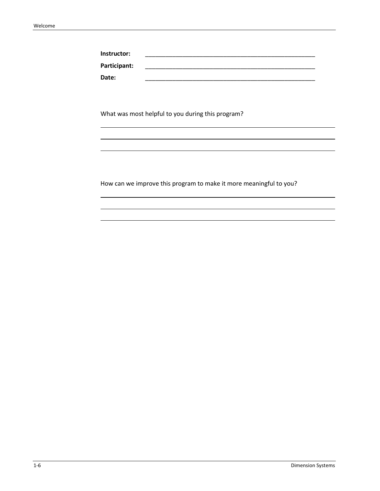| Instructor:  |  |
|--------------|--|
| Participant: |  |
| <b>Date:</b> |  |

What was most helpful to you during this program?

How can we improve this program to make it more meaningful to you?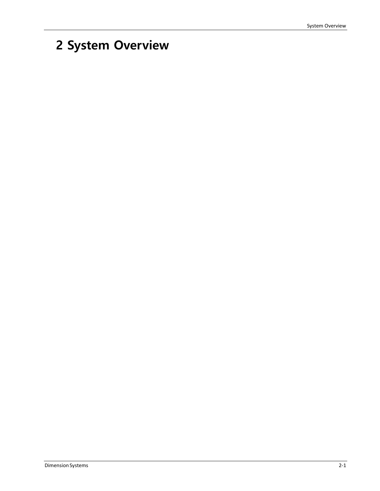# **2 System Overview**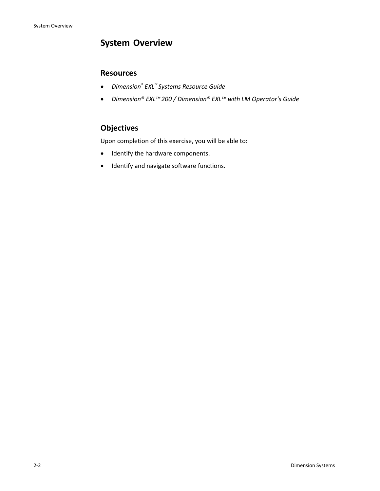## **System Overview**

#### **Resources**

- *Dimension® EXL™ Systems Resource Guide*
- *Dimension® EXL™200 / Dimension® EXL™ with LM Operator's Guide*

## **Objectives**

Upon completion of this exercise, you will be able to:

- Identify the hardware components.
- Identify and navigate software functions.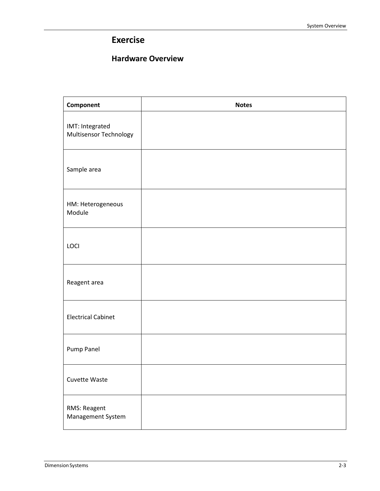## **Exercise**

### **Hardware Overview**

| Component                                 | <b>Notes</b> |
|-------------------------------------------|--------------|
| IMT: Integrated<br>Multisensor Technology |              |
| Sample area                               |              |
| HM: Heterogeneous<br>Module               |              |
| LOCI                                      |              |
| Reagent area                              |              |
| <b>Electrical Cabinet</b>                 |              |
| Pump Panel                                |              |
| Cuvette Waste                             |              |
| RMS: Reagent<br>Management System         |              |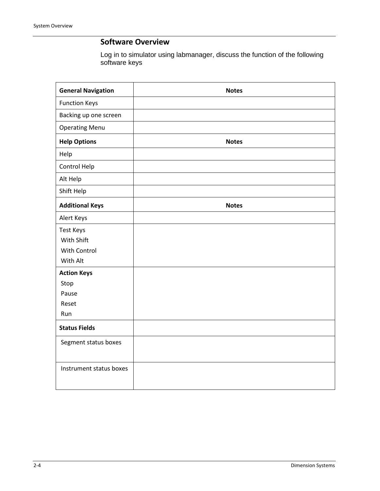### **Software Overview**

Log in to simulator using labmanager, discuss the function of the following software keys

| <b>General Navigation</b> | <b>Notes</b> |
|---------------------------|--------------|
| <b>Function Keys</b>      |              |
| Backing up one screen     |              |
| <b>Operating Menu</b>     |              |
| <b>Help Options</b>       | <b>Notes</b> |
| Help                      |              |
| Control Help              |              |
| Alt Help                  |              |
| Shift Help                |              |
| <b>Additional Keys</b>    | <b>Notes</b> |
| Alert Keys                |              |
| <b>Test Keys</b>          |              |
| With Shift                |              |
| With Control              |              |
| With Alt                  |              |
| <b>Action Keys</b>        |              |
| Stop                      |              |
| Pause                     |              |
| Reset                     |              |
| Run                       |              |
| <b>Status Fields</b>      |              |
| Segment status boxes      |              |
|                           |              |
| Instrument status boxes   |              |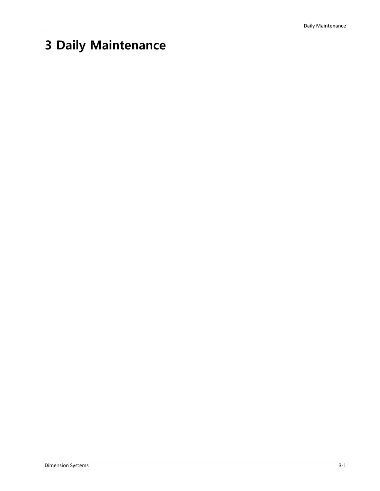# **3 Daily Maintenance**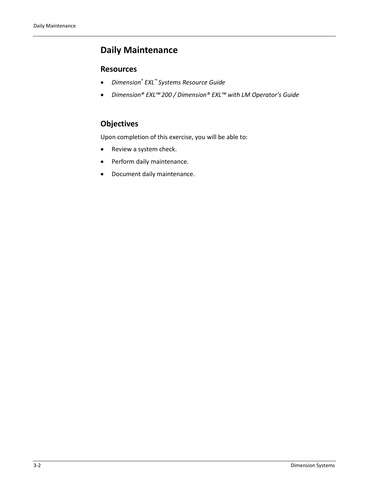# **Daily Maintenance**

### **Resources**

- *Dimension® EXL™ Systems Resource Guide*
- *Dimension® EXL™200 / Dimension® EXL™ with LM Operator's Guide*

## **Objectives**

Upon completion of this exercise, you will be able to:

- Review a system check.
- Perform daily maintenance.
- Document daily maintenance.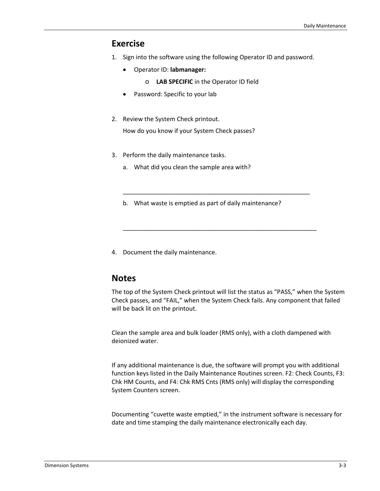### **Exercise**

- 1. Sign into the software using the following Operator ID and password.
	- Operator ID: **labmanager:** 
		- o **LAB SPECIFIC** in the Operator ID field
	- Password: Specific to your lab
- 2. Review the System Check printout.

How do you know if your System Check passes?

- 3. Perform the daily maintenance tasks.
	- a. What did you clean the sample area with?
	- b. What waste is emptied as part of daily maintenance?

\_\_\_\_\_\_\_\_\_\_\_\_\_\_\_\_\_\_\_\_\_\_\_\_\_\_\_\_\_\_\_\_\_\_\_\_\_\_\_\_\_\_\_\_\_\_\_\_\_\_\_\_\_\_\_

\_\_\_\_\_\_\_\_\_\_\_\_\_\_\_\_\_\_\_\_\_\_\_\_\_\_\_\_\_\_\_\_\_\_\_\_\_\_\_\_\_\_\_\_\_\_\_\_\_\_\_\_\_\_\_\_\_

4. Document the daily maintenance.

### **Notes**

The top of the System Check printout will list the status as "PASS," when the System Check passes, and "FAIL," when the System Check fails. Any component that failed will be back lit on the printout.

Clean the sample area and bulk loader (RMS only), with a cloth dampened with deionized water.

If any additional maintenance is due, the software will prompt you with additional function keys listed in the Daily Maintenance Routines screen. F2: Check Counts, F3: Chk HM Counts, and F4: Chk RMS Cnts (RMS only) will display the corresponding System Counters screen.

Documenting "cuvette waste emptied," in the instrument software is necessary for date and time stamping the daily maintenance electronically each day.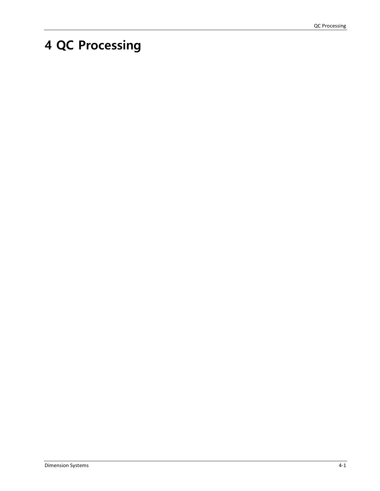# **4 QC Processing**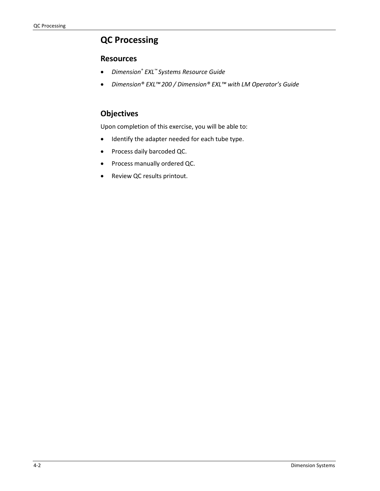# **QC Processing**

#### **Resources**

- *Dimension® EXL™ Systems Resource Guide*
- *Dimension® EXL™200 / Dimension® EXL™ with LM Operator's Guide*

## **Objectives**

Upon completion of this exercise, you will be able to:

- Identify the adapter needed for each tube type.
- Process daily barcoded QC.
- Process manually ordered QC.
- Review QC results printout.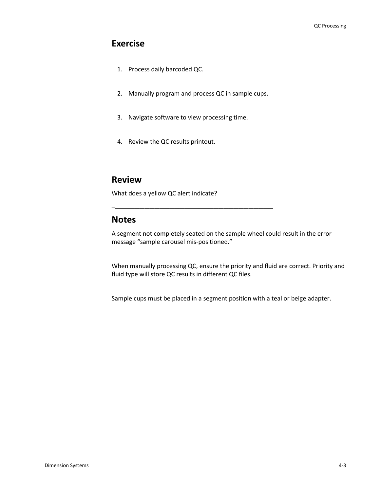## **Exercise**

- 1. Process daily barcoded QC.
- 2. Manually program and process QC in sample cups.

\_\_\_\_\_\_\_\_\_\_\_\_\_\_\_\_\_\_\_\_\_\_\_\_\_\_\_\_\_\_\_\_\_

- 3. Navigate software to view processing time.
- 4. Review the QC results printout.

### **Review**

What does a yellow QC alert indicate?

### **Notes**

A segment not completely seated on the sample wheel could result in the error message "sample carousel mis-positioned."

When manually processing QC, ensure the priority and fluid are correct. Priority and fluid type will store QC results in different QC files.

Sample cups must be placed in a segment position with a teal or beige adapter.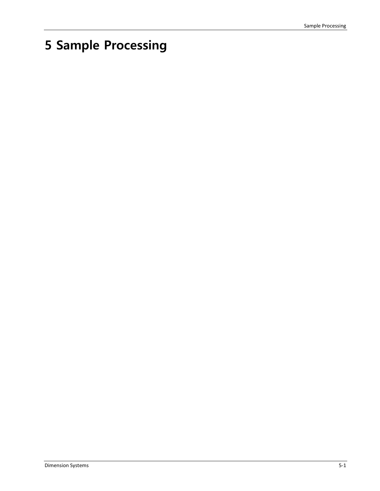# **5 Sample Processing**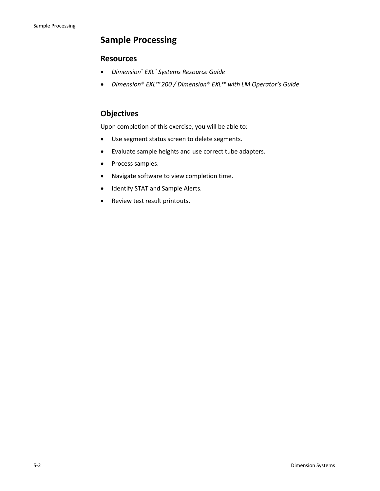## **Sample Processing**

#### **Resources**

- *Dimension® EXL™ Systems Resource Guide*
- *Dimension® EXL™200 / Dimension® EXL™ with LM Operator's Guide*

### **Objectives**

Upon completion of this exercise, you will be able to:

- Use segment status screen to delete segments.
- Evaluate sample heights and use correct tube adapters.
- Process samples.
- Navigate software to view completion time.
- Identify STAT and Sample Alerts.
- Review test result printouts.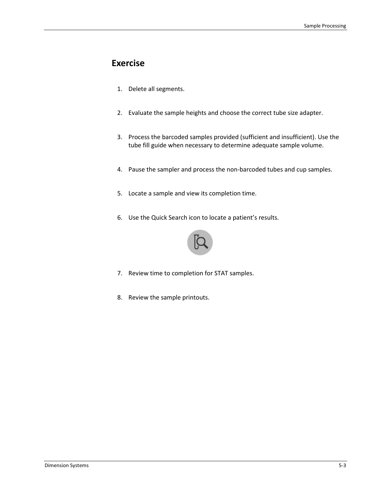## **Exercise**

- 1. Delete all segments.
- 2. Evaluate the sample heights and choose the correct tube size adapter.
- 3. Process the barcoded samples provided (sufficient and insufficient). Use the tube fill guide when necessary to determine adequate sample volume.
- 4. Pause the sampler and process the non-barcoded tubes and cup samples.
- 5. Locate a sample and view its completion time.
- 6. Use the Quick Search icon to locate a patient's results.



- 7. Review time to completion for STAT samples.
- 8. Review the sample printouts.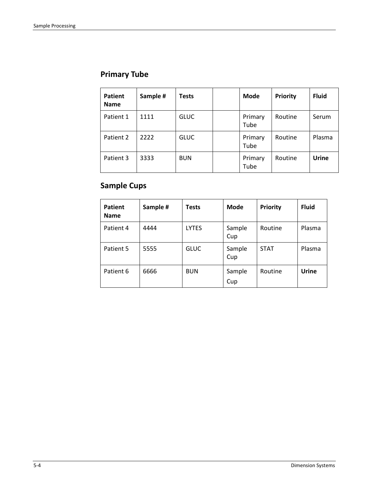# **Primary Tube**

| Patient<br><b>Name</b> | Sample # | <b>Tests</b> | <b>Mode</b>     | <b>Priority</b> | <b>Fluid</b> |
|------------------------|----------|--------------|-----------------|-----------------|--------------|
| Patient 1              | 1111     | <b>GLUC</b>  | Primary<br>Tube | Routine         | Serum        |
| Patient 2              | 2222     | <b>GLUC</b>  | Primary<br>Tube | Routine         | Plasma       |
| Patient 3              | 3333     | <b>BUN</b>   | Primary<br>Tube | Routine         | Urine        |

# **Sample Cups**

| <b>Patient</b><br><b>Name</b> | Sample # | <b>Tests</b> | <b>Mode</b>   | <b>Priority</b> | <b>Fluid</b> |
|-------------------------------|----------|--------------|---------------|-----------------|--------------|
| Patient 4                     | 4444     | <b>LYTES</b> | Sample<br>Cup | Routine         | Plasma       |
| Patient 5                     | 5555     | <b>GLUC</b>  | Sample<br>Cup | <b>STAT</b>     | Plasma       |
| Patient 6                     | 6666     | <b>BUN</b>   | Sample<br>Cup | Routine         | <b>Urine</b> |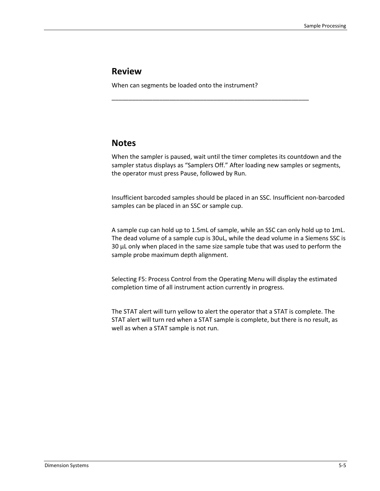### **Review**

When can segments be loaded onto the instrument?

\_\_\_\_\_\_\_\_\_\_\_\_\_\_\_\_\_\_\_\_\_\_\_\_\_\_\_\_\_\_\_\_\_\_\_\_\_\_\_\_\_\_\_\_\_\_\_\_\_\_\_\_\_\_\_\_\_\_

### **Notes**

When the sampler is paused, wait until the timer completes its countdown and the sampler status displays as "Samplers Off." After loading new samples or segments, the operator must press Pause, followed by Run.

Insufficient barcoded samples should be placed in an SSC. Insufficient non-barcoded samples can be placed in an SSC or sample cup.

A sample cup can hold up to 1.5mL of sample, while an SSC can only hold up to 1mL. The dead volume of a sample cup is 30uL, while the dead volume in a Siemens SSC is 30 μL only when placed in the same size sample tube that was used to perform the sample probe maximum depth alignment.

Selecting F5: Process Control from the Operating Menu will display the estimated completion time of all instrument action currently in progress.

The STAT alert will turn yellow to alert the operator that a STAT is complete. The STAT alert will turn red when a STAT sample is complete, but there is no result, as well as when a STAT sample is not run.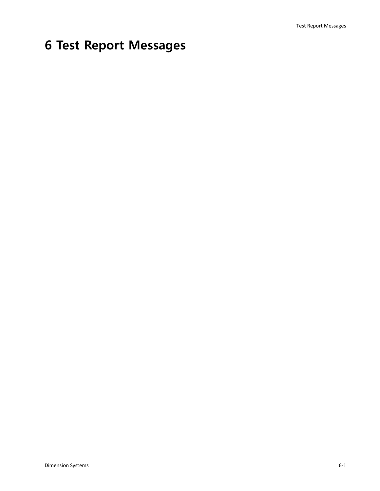# **6 Test Report Messages**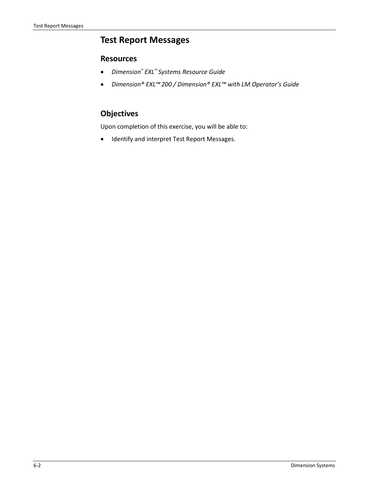## **Test Report Messages**

#### **Resources**

- *Dimension® EXL™ Systems Resource Guide*
- *Dimension® EXL™200 / Dimension® EXL™ with LM Operator's Guide*

## **Objectives**

Upon completion of this exercise, you will be able to:

• Identify and interpret Test Report Messages.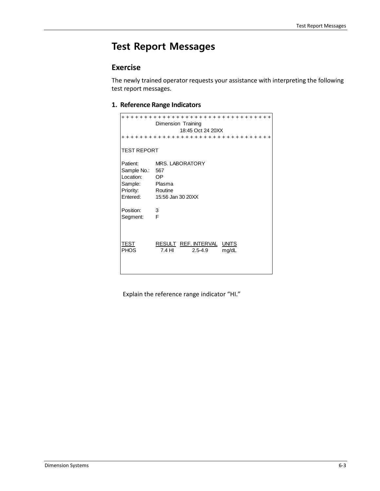# **Test Report Messages**

## **Exercise**

The newly trained operator requests your assistance with interpreting the following test report messages.

#### **1. Reference Range Indicators**

| + + + + + + +<br>Dimension Training<br>18:45 Oct 24 20XX<br>+++++++++++++++++++++++++++++++++ |                                                              |  |  |
|-----------------------------------------------------------------------------------------------|--------------------------------------------------------------|--|--|
| <b>TEST REPORT</b>                                                                            |                                                              |  |  |
| Patient:<br>Sample No.: 567<br>Location:<br>Sample: Plasma<br>Priority:<br>Entered:           | MRS. LABORATORY<br>OP O<br>Routine<br>15:56 Jan 30 20XX      |  |  |
| Position:<br>Segment:                                                                         | $\overline{\mathbf{3}}$<br>$\overline{F}$                    |  |  |
| TEST<br><b>PHOS</b>                                                                           | RESULT REF. INTERVAL UNITS<br>7.4 HI<br>$2.5 - 4.9$<br>mg/dL |  |  |

Explain the reference range indicator "HI."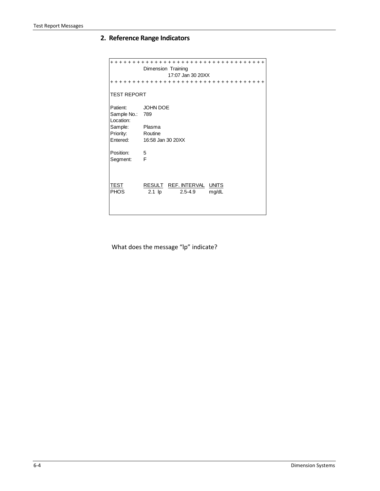### **2. Reference Range Indicators**

| +++++++++++++++++++++++++++++++++++<br>Dimension Training<br>17:07 Jan 30 20XX<br>+++++++++++++++++++++++++++++++++++ |                                                                |  |  |
|-----------------------------------------------------------------------------------------------------------------------|----------------------------------------------------------------|--|--|
| <b>TEST REPORT</b>                                                                                                    |                                                                |  |  |
| Patient:<br>Sample No.:<br>Location:<br>Sample:<br>Priority:<br>Entered:                                              | JOHN DOE<br>789<br>Plasma<br>Routine<br>16:58 Jan 30 20XX      |  |  |
| Position:<br>Segment:                                                                                                 | - 5<br>F                                                       |  |  |
| TEST<br><b>PHOS</b>                                                                                                   | RESULT REF. INTERVAL UNITS<br>$2.1$ lp<br>$2.5 - 4.9$<br>mg/dL |  |  |

What does the message "lp" indicate?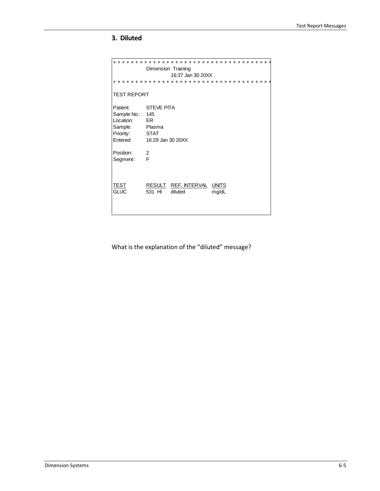#### **3. Diluted**

```
+ + + + + + + + + + + + + + + + + + + + + + + + + + + + + + + + + + + +
               Dimension Training
                           16:37 Jan 30 20XX
+ + + + + + + + + + + + + + + + + + + + + + + + + + + + + + + + + + + +
TEST REPORT
Patient: STEVE PITA
Sample No.: 145<br>Location: ER
Location: ER<br>Sample: Plasma
Sample: Plasm<br>Priority: STAT
Priority:<br>Entered
               16:29 Jan 30 20XX
Position: 2<br>Segment: F
Segment:
TEST RESULT REF. INTERVAL UNITS<br>GLUC 531 HI diluted mg/dL
               531 HI diluted mg/dL
```
What is the explanation of the "diluted" message?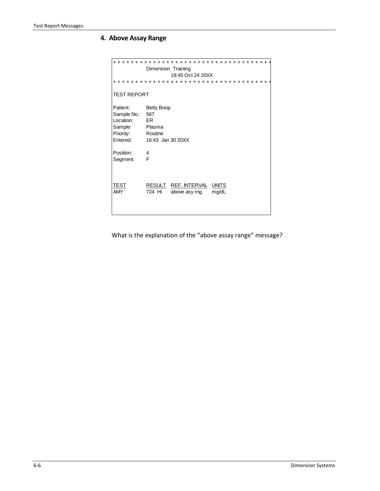### **4. Above Assay Range**

|                           | + + + + + + + + + +<br>Dimension Training                                |
|---------------------------|--------------------------------------------------------------------------|
|                           | 18:45 Oct 24 20XX                                                        |
|                           | ++++++++++++++++++++++++++++++++++                                       |
| <b>TEST REPORT</b>        |                                                                          |
| Patient:                  | <b>Betty Boop</b>                                                        |
| Sample No.:               | 567                                                                      |
| Location:                 | ER                                                                       |
| Sample:                   | Plasma                                                                   |
| Priority:                 | Routine                                                                  |
| Entered:                  | 16:43 Jan 30 20XX                                                        |
| Position:                 | 4                                                                        |
| Segment:                  | F                                                                        |
| <b>TEST</b><br><b>AMY</b> | RESULT REF. INTERVAL<br><b>UNITS</b><br>724 HI<br>mg/dL<br>above asy rng |
|                           |                                                                          |

What is the explanation of the "above assay range" message?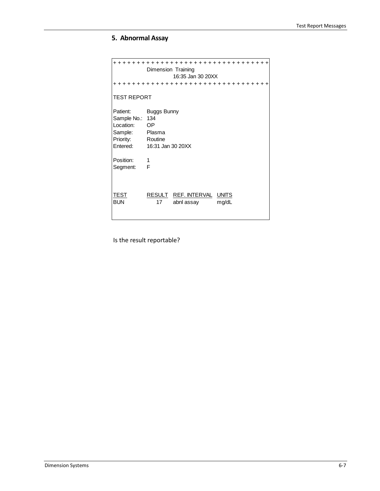### **5. Abnormal Assay**

|                                                                          | +++++++++++++++++++++++++++++++++<br>Dimension Training<br>16:35 Jan 30 20XX     |
|--------------------------------------------------------------------------|----------------------------------------------------------------------------------|
|                                                                          | +++++++++++++++++++++++++++++++++                                                |
| <b>TEST REPORT</b>                                                       |                                                                                  |
| Patient:<br>Sample No.:<br>Location:<br>Sample:<br>Priority:<br>Entered: | <b>Buggs Bunny</b><br>134<br><b>OP</b><br>Plasma<br>Routine<br>16:31 Jan 30 20XX |
| Position:<br>Segment:                                                    | 1<br>F                                                                           |
| TEST<br><b>BUN</b>                                                       | RESULT REF. INTERVAL<br><b>UNITS</b><br>17<br>abnl assay<br>mg/dL                |

Is the result reportable?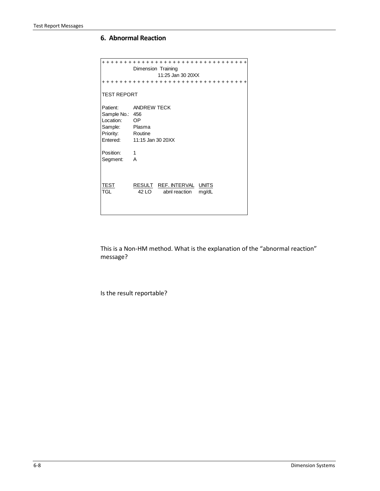#### **6. Abnormal Reaction**

```
+ + + + + + + + + + + + + + + + + + + + + + + + + + + + + + + + + 
               Dimension Training
                          11:25 Jan 30 20XX
+ + + + + + + + + + + + + + + + + + + + + + + + + + + + + + + + + 
TEST REPORT
Patient: ANDREW TECK
Sample No.: 456<br>Location: OP
Location: OP<br>Sample: Plasma
Sample: Plasma<br>Priority: Routine
Priority:<br>Entered:
              11:15 Jan 30 20XX
Position: 1
Segment: A
TEST RESULT REF. INTERVAL UNITS<br>TGL 42 LO abni reaction mg/dL
                 42 LO abnl reaction mg/dL
```
This is a Non-HM method. What is the explanation of the "abnormal reaction" message?

Is the result reportable?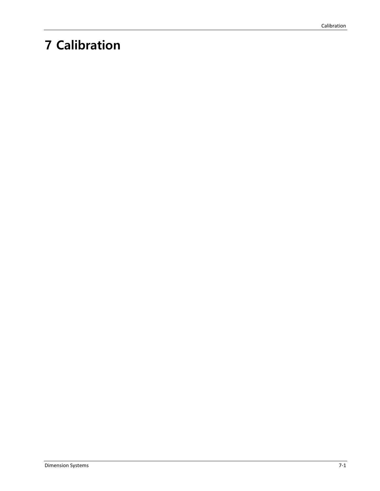# **7 Calibration**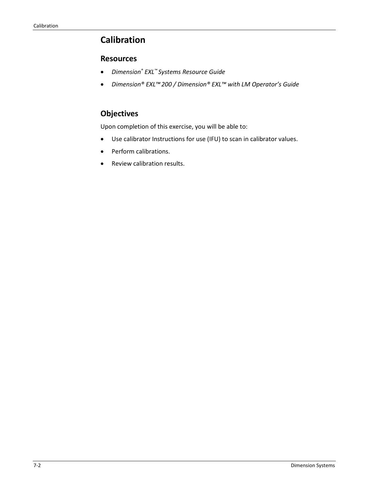## **Calibration**

#### **Resources**

- *Dimension® EXL™ Systems Resource Guide*
- *Dimension® EXL™200 / Dimension® EXL™ with LM Operator's Guide*

## **Objectives**

Upon completion of this exercise, you will be able to:

- Use calibrator Instructions for use (IFU) to scan in calibrator values.
- Perform calibrations.
- Review calibration results.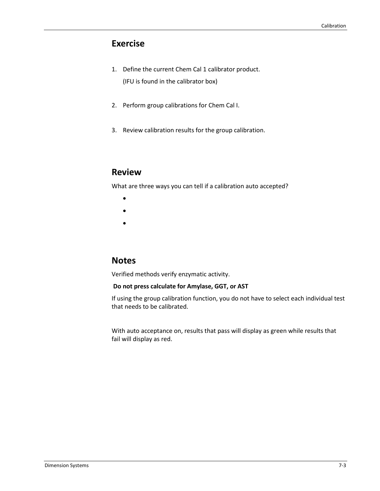## **Exercise**

- 1. Define the current Chem Cal 1 calibrator product. (IFU is found in the calibrator box)
- 2. Perform group calibrations for Chem Cal I.
- 3. Review calibration results for the group calibration.

### **Review**

What are three ways you can tell if a calibration auto accepted?

- •
- •
- •

## **Notes**

Verified methods verify enzymatic activity.

#### **Do not press calculate for Amylase, GGT, or AST**

If using the group calibration function, you do not have to select each individual test that needs to be calibrated.

With auto acceptance on, results that pass will display as green while results that fail will display as red.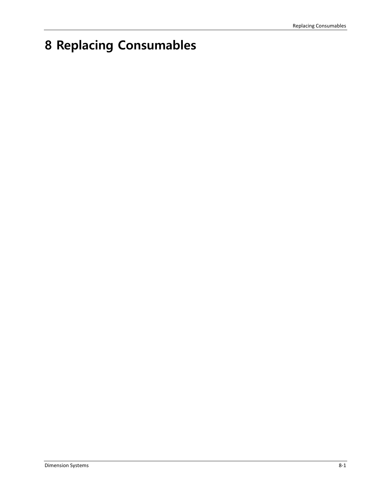# **8 Replacing Consumables**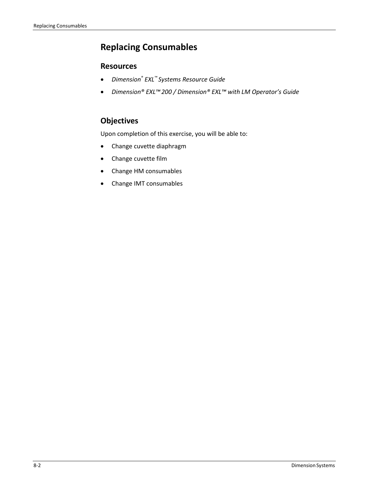# **Replacing Consumables**

### **Resources**

- *Dimension® EXL™ Systems Resource Guide*
- *Dimension® EXL™200 / Dimension® EXL™ with LM Operator's Guide*

## **Objectives**

Upon completion of this exercise, you will be able to:

- Change cuvette diaphragm
- Change cuvette film
- Change HM consumables
- Change IMT consumables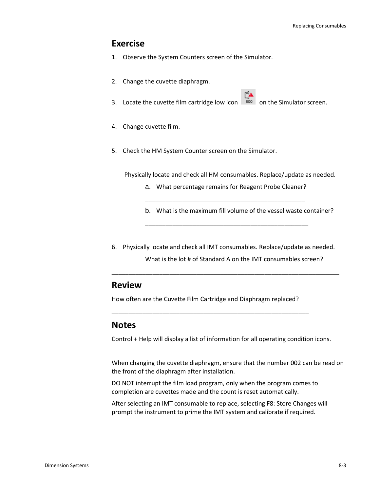### **Exercise**

- 1. Observe the System Counters screen of the Simulator.
- 2. Change the cuvette diaphragm.
- 3. Locate the cuvette film cartridge low icon  $\frac{300}{100}$  on the Simulator screen.
- 4. Change cuvette film.
- 5. Check the HM System Counter screen on the Simulator.

Physically locate and check all HM consumables. Replace/update as needed.

a. What percentage remains for Reagent Probe Cleaner? \_\_\_\_\_\_\_\_\_\_\_\_\_\_\_\_\_\_\_\_\_\_\_\_\_\_\_\_\_\_\_\_\_\_\_\_\_\_\_\_\_\_\_\_\_\_\_

\_\_\_\_\_\_\_\_\_\_\_\_\_\_\_\_\_\_\_\_\_\_\_\_\_\_\_\_\_\_\_\_\_\_\_\_\_\_\_\_\_\_\_\_\_\_\_\_

- b. What is the maximum fill volume of the vessel waste container?
- 6. Physically locate and check all IMT consumables. Replace/update as needed. What is the lot # of Standard A on the IMT consumables screen?

\_\_\_\_\_\_\_\_\_\_\_\_\_\_\_\_\_\_\_\_\_\_\_\_\_\_\_\_\_\_\_\_\_\_\_\_\_\_\_\_\_\_\_\_\_\_\_\_\_\_\_\_\_\_\_\_\_\_\_\_\_\_\_\_\_\_\_

### **Review**

How often are the Cuvette Film Cartridge and Diaphragm replaced?

\_\_\_\_\_\_\_\_\_\_\_\_\_\_\_\_\_\_\_\_\_\_\_\_\_\_\_\_\_\_\_\_\_\_\_\_\_\_\_\_\_\_\_\_\_\_\_\_\_\_\_\_\_\_\_\_\_\_

### **Notes**

Control + Help will display a list of information for all operating condition icons.

When changing the cuvette diaphragm, ensure that the number 002 can be read on the front of the diaphragm after installation.

DO NOT interrupt the film load program, only when the program comes to completion are cuvettes made and the count is reset automatically.

After selecting an IMT consumable to replace, selecting F8: Store Changes will prompt the instrument to prime the IMT system and calibrate if required.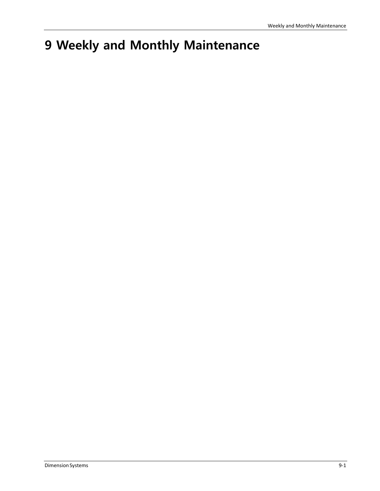# **9 Weekly and Monthly Maintenance**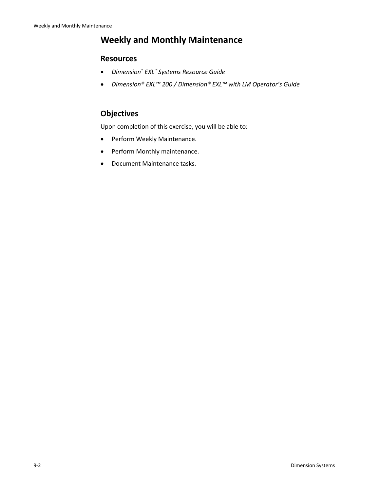## **Weekly and Monthly Maintenance**

#### **Resources**

- *Dimension® EXL™ Systems Resource Guide*
- *Dimension® EXL™ 200 / Dimension® EXL™ with LM Operator's Guide*

### **Objectives**

Upon completion of this exercise, you will be able to:

- Perform Weekly Maintenance.
- Perform Monthly maintenance.
- Document Maintenance tasks.